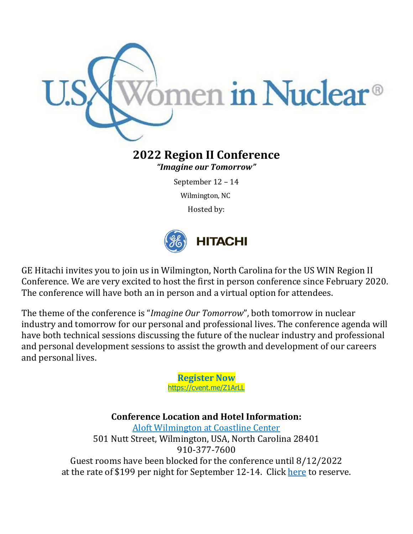

# **2022 Region II Conference**

*"Imagine our Tomorrow"*

September 12 – 14

Wilmington, NC

Hosted by:



GE Hitachi invites you to join us in Wilmington, North Carolina for the US WIN Region II Conference. We are very excited to host the first in person conference since February 2020. The conference will have both an in person and a virtual option for attendees.

The theme of the conference is "*Imagine Our Tomorrow*", both tomorrow in nuclear industry and tomorrow for our personal and professional lives. The conference agenda will have both technical sessions discussing the future of the nuclear industry and professional and personal development sessions to assist the growth and development of our careers and personal lives.

> **Register Now** <https://cvent.me/Z1ArLL>

**Conference Location and Hotel Information:** [Aloft Wilmington at Coastline Center](https://www.marriott.com/en-us/hotels/ilmal-aloft-wilmington-at-coastline-center/overview/) 501 Nutt Street, Wilmington, USA, North Carolina 28401 910-377-7600 Guest rooms have been blocked for the conference until 8/12/2022 at the rate of \$199 per night for September 12-14. Click [here](https://www.marriott.com/en-us/hotels/ilmal-aloft-wilmington-at-coastline-center/overview/) to reserve.